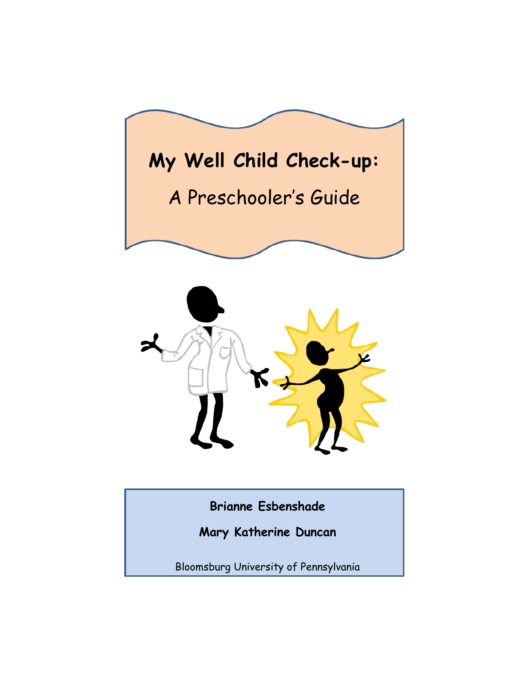



**Brianne Esbenshade**

**Mary Katherine Duncan**

Bloomsburg University of Pennsylvania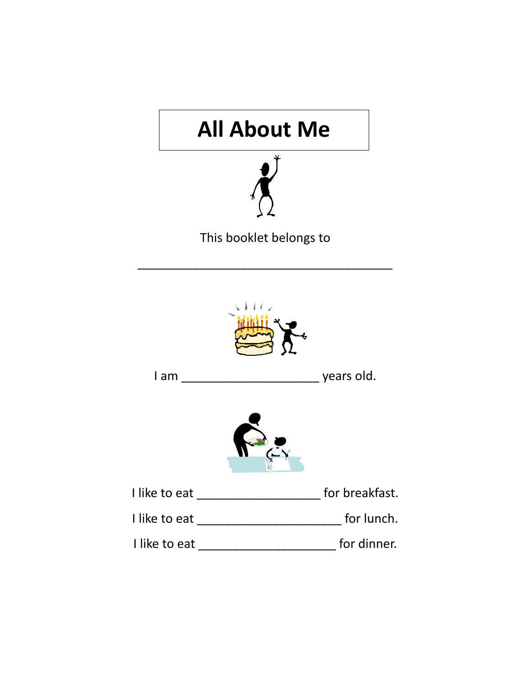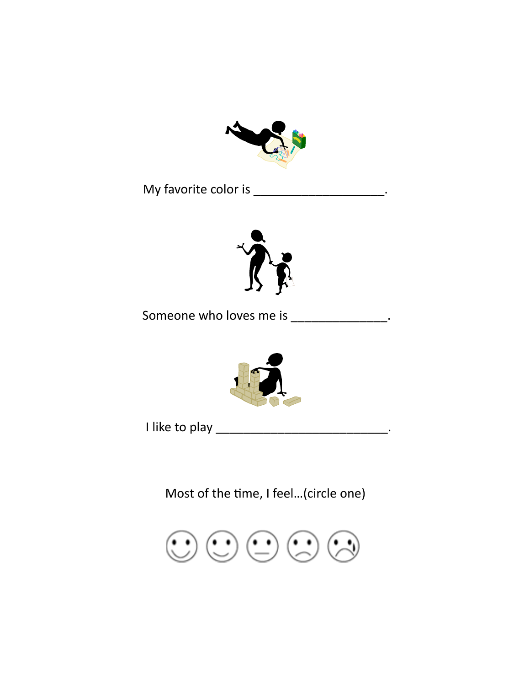

My favorite color is \_\_\_\_\_\_\_\_\_\_\_\_\_\_\_\_\_\_\_\_\_.



Someone who loves me is \_\_\_\_\_\_\_\_\_\_\_\_\_\_\_\_.



I like to play \_\_\_\_\_\_\_\_\_\_\_\_\_\_\_\_\_\_\_\_\_\_\_\_\_\_\_\_\_\_\_.

Most of the time, I feel…(circle one)

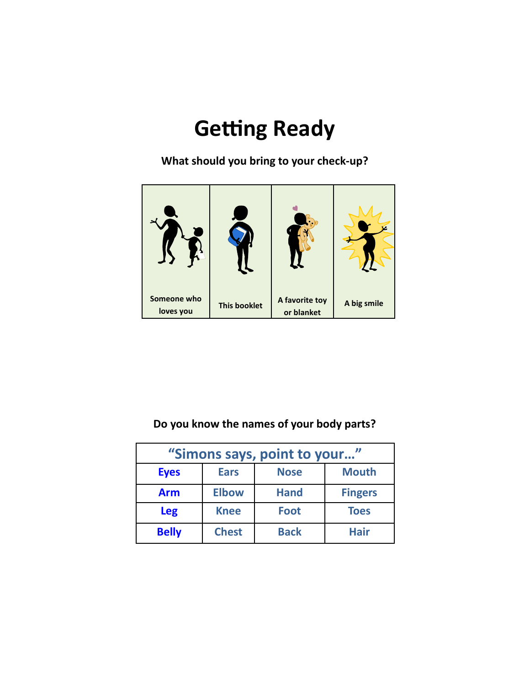# **Getting Ready**

**What should you bring to your check-up?**



#### **Do you know the names of your body parts?**

| "Simons says, point to your" |              |             |                |
|------------------------------|--------------|-------------|----------------|
| <b>Eyes</b>                  | <b>Ears</b>  | <b>Nose</b> | <b>Mouth</b>   |
| <b>Arm</b>                   | <b>Elbow</b> | <b>Hand</b> | <b>Fingers</b> |
| <b>Leg</b>                   | <b>Knee</b>  | <b>Foot</b> | <b>Toes</b>    |
| <b>Belly</b>                 | <b>Chest</b> | <b>Back</b> | <b>Hair</b>    |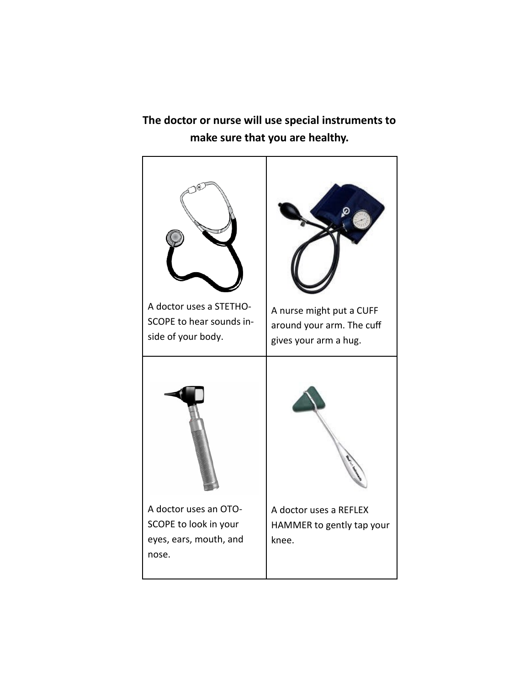**The doctor or nurse will use special instruments to make sure that you are healthy.**

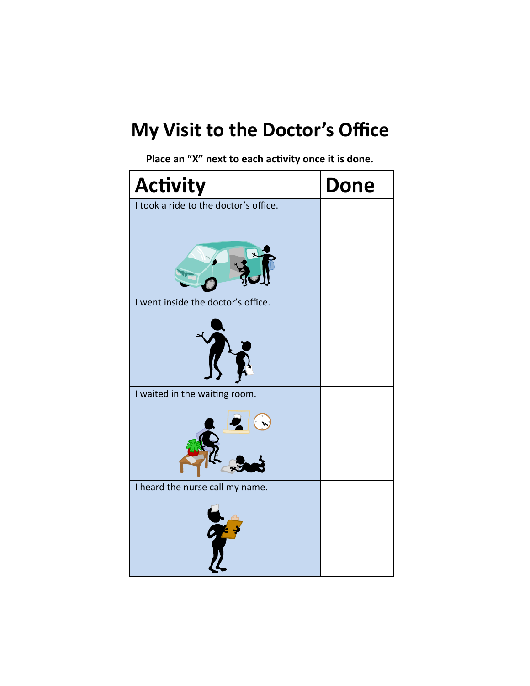## **My Visit to the Doctor's Office**

 **Place an "X" next to each activity once it is done.**

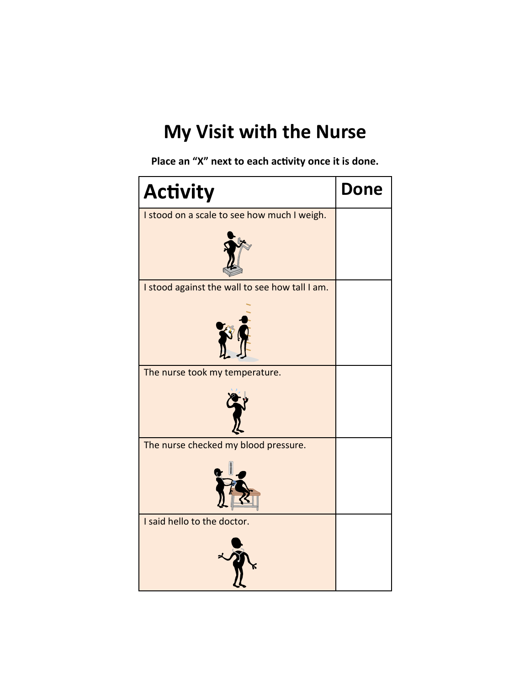#### **My Visit with the Nurse**

**Place an "X" next to each activity once it is done.**

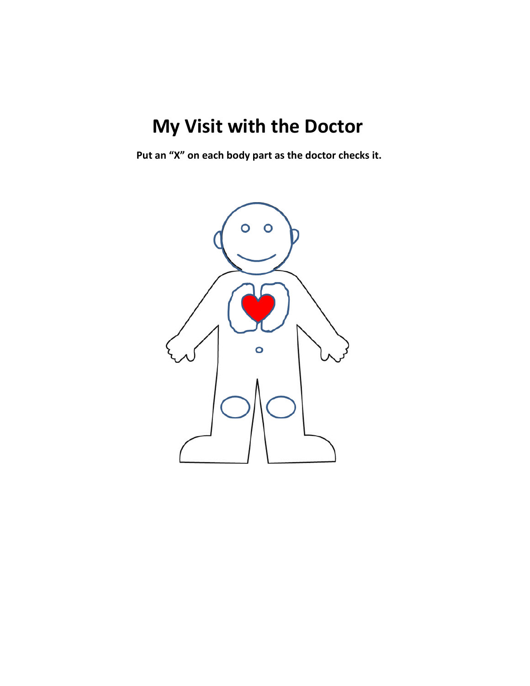## **My Visit with the Doctor**

**Put an "X" on each body part as the doctor checks it.** 

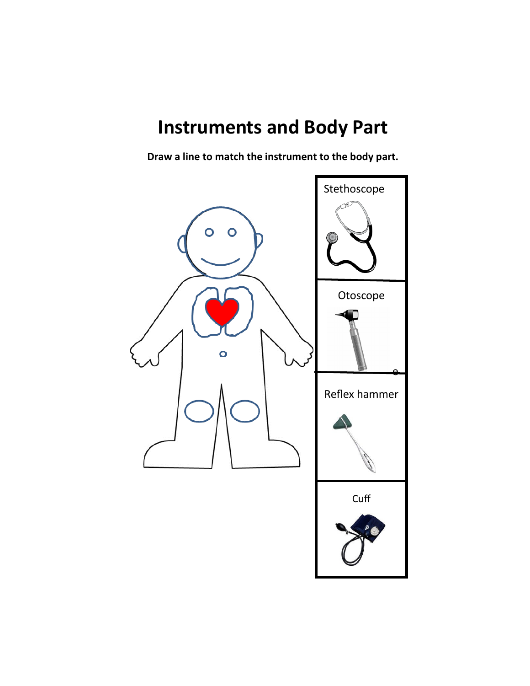#### **Instruments and Body Part**

Draw a line to match the instrument to the body part.

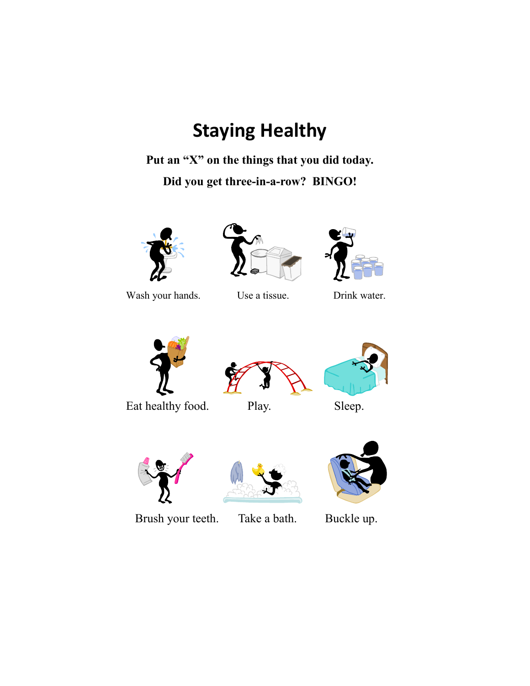## **Staying Healthy**

**Put an "X" on the things that you did today.**

**Did you get three-in-a-row? BINGO!**



Wash your hands. Use a tissue. Drink water.







Eat healthy food. Play. Sleep.









Brush your teeth. Take a bath. Buckle up.